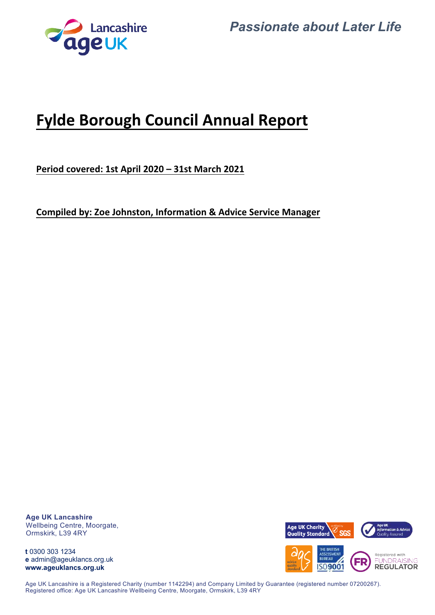



# **Fylde Borough Council Annual Report**

**Period covered: 1st April 2020 – 31st March 2021**

**Compiled by: Zoe Johnston, Information & Advice Service Manager**

**Age UK Lancashire** Wellbeing Centre, Moorgate, Ormskirk, L39 4RY

**t** 0300 303 1234 **e** admin@ageuklancs.org.uk **www.ageuklancs.org.uk**



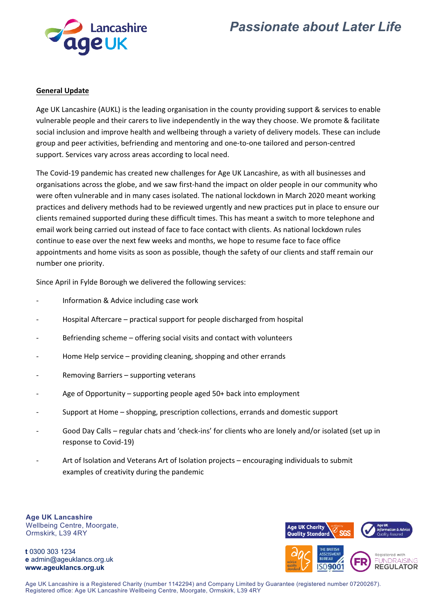



#### **General Update**

Age UK Lancashire (AUKL) is the leading organisation in the county providing support & services to enable vulnerable people and their carers to live independently in the way they choose. We promote & facilitate social inclusion and improve health and wellbeing through a variety of delivery models. These can include group and peer activities, befriending and mentoring and one‐to‐one tailored and person‐centred support. Services vary across areas according to local need.

The Covid‐19 pandemic has created new challenges for Age UK Lancashire, as with all businesses and organisations across the globe, and we saw first‐hand the impact on older people in our community who were often vulnerable and in many cases isolated. The national lockdown in March 2020 meant working practices and delivery methods had to be reviewed urgently and new practices put in place to ensure our clients remained supported during these difficult times. This has meant a switch to more telephone and email work being carried out instead of face to face contact with clients. As national lockdown rules continue to ease over the next few weeks and months, we hope to resume face to face office appointments and home visits as soon as possible, though the safety of our clients and staff remain our number one priority.

Since April in Fylde Borough we delivered the following services:

- Information & Advice including case work
- ‐ Hospital Aftercare practical support for people discharged from hospital
- Befriending scheme offering social visits and contact with volunteers
- Home Help service providing cleaning, shopping and other errands
- ‐ Removing Barriers supporting veterans
- Age of Opportunity supporting people aged 50+ back into employment
- ‐ Support at Home shopping, prescription collections, errands and domestic support
- Good Day Calls regular chats and 'check-ins' for clients who are lonely and/or isolated (set up in response to Covid‐19)
- ‐ Art of Isolation and Veterans Art of Isolation projects encouraging individuals to submit examples of creativity during the pandemic

**Age UK Lancashire** Wellbeing Centre, Moorgate, Ormskirk, L39 4RY

**t** 0300 303 1234 **e** admin@ageuklancs.org.uk **www.ageuklancs.org.uk**



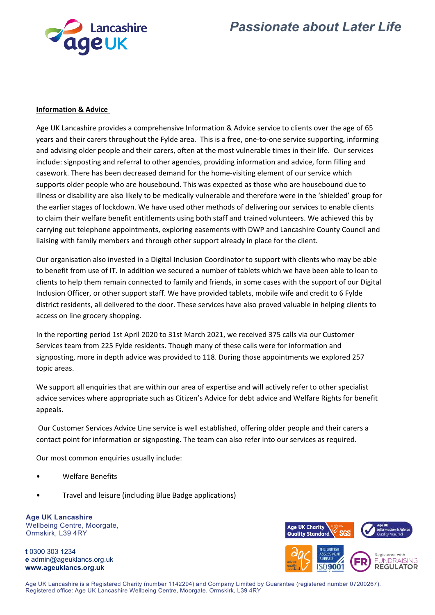



#### **Information & Advice**

Age UK Lancashire provides a comprehensive Information & Advice service to clients over the age of 65 years and their carers throughout the Fylde area. This is a free, one‐to‐one service supporting, informing and advising older people and their carers, often at the most vulnerable times in their life. Our services include: signposting and referral to other agencies, providing information and advice, form filling and casework. There has been decreased demand for the home‐visiting element of our service which supports older people who are housebound. This was expected as those who are housebound due to illness or disability are also likely to be medically vulnerable and therefore were in the 'shielded' group for the earlier stages of lockdown. We have used other methods of delivering our services to enable clients to claim their welfare benefit entitlements using both staff and trained volunteers. We achieved this by carrying out telephone appointments, exploring easements with DWP and Lancashire County Council and liaising with family members and through other support already in place for the client.

Our organisation also invested in a Digital Inclusion Coordinator to support with clients who may be able to benefit from use of IT. In addition we secured a number of tablets which we have been able to loan to clients to help them remain connected to family and friends, in some cases with the support of our Digital Inclusion Officer, or other support staff. We have provided tablets, mobile wife and credit to 6 Fylde district residents, all delivered to the door. These services have also proved valuable in helping clients to access on line grocery shopping.

In the reporting period 1st April 2020 to 31st March 2021, we received 375 calls via our Customer Services team from 225 Fylde residents. Though many of these calls were for information and signposting, more in depth advice was provided to 118. During those appointments we explored 257 topic areas.

We support all enquiries that are within our area of expertise and will actively refer to other specialist advice services where appropriate such as Citizen's Advice for debt advice and Welfare Rights for benefit appeals.

Our Customer Services Advice Line service is well established, offering older people and their carers a contact point for information or signposting. The team can also refer into our services as required.

Our most common enquiries usually include:

- Welfare Benefits
- Travel and leisure (including Blue Badge applications)

**Age UK Lancashire** Wellbeing Centre, Moorgate, Ormskirk, L39 4RY

**t** 0300 303 1234 **e** admin@ageuklancs.org.uk **www.ageuklancs.org.uk**



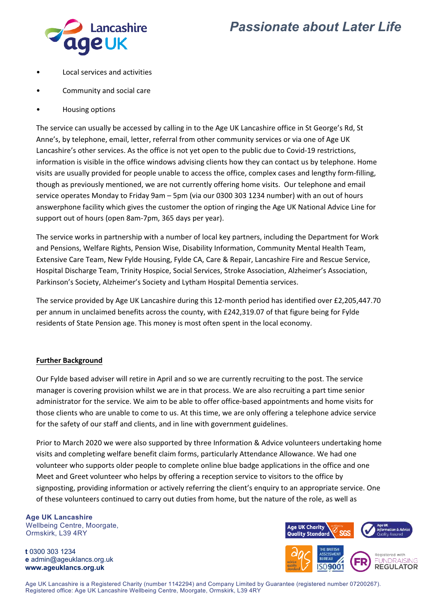

### *Passionate about Later Life*

- Local services and activities
- Community and social care
- Housing options

The service can usually be accessed by calling in to the Age UK Lancashire office in St George's Rd, St Anne's, by telephone, email, letter, referral from other community services or via one of Age UK Lancashire's other services. As the office is not yet open to the public due to Covid‐19 restrictions, information is visible in the office windows advising clients how they can contact us by telephone. Home visits are usually provided for people unable to access the office, complex cases and lengthy form‐filling, though as previously mentioned, we are not currently offering home visits. Our telephone and email service operates Monday to Friday 9am – 5pm (via our 0300 303 1234 number) with an out of hours answerphone facility which gives the customer the option of ringing the Age UK National Advice Line for support out of hours (open 8am‐7pm, 365 days per year).

The service works in partnership with a number of local key partners, including the Department for Work and Pensions, Welfare Rights, Pension Wise, Disability Information, Community Mental Health Team, Extensive Care Team, New Fylde Housing, Fylde CA, Care & Repair, Lancashire Fire and Rescue Service, Hospital Discharge Team, Trinity Hospice, Social Services, Stroke Association, Alzheimer's Association, Parkinson's Society, Alzheimer's Society and Lytham Hospital Dementia services.

The service provided by Age UK Lancashire during this 12‐month period has identified over £2,205,447.70 per annum in unclaimed benefits across the county, with £242,319.07 of that figure being for Fylde residents of State Pension age. This money is most often spent in the local economy.

#### **Further Background**

Our Fylde based adviser will retire in April and so we are currently recruiting to the post. The service manager is covering provision whilst we are in that process. We are also recruiting a part time senior administrator for the service. We aim to be able to offer office-based appointments and home visits for those clients who are unable to come to us. At this time, we are only offering a telephone advice service for the safety of our staff and clients, and in line with government guidelines.

Prior to March 2020 we were also supported by three Information & Advice volunteers undertaking home visits and completing welfare benefit claim forms, particularly Attendance Allowance. We had one volunteer who supports older people to complete online blue badge applications in the office and one Meet and Greet volunteer who helps by offering a reception service to visitors to the office by signposting, providing information or actively referring the client's enquiry to an appropriate service. One of these volunteers continued to carry out duties from home, but the nature of the role, as well as

**Age UK Lancashire** Wellbeing Centre, Moorgate, Ormskirk, L39 4RY

**t** 0300 303 1234 **e** admin@ageuklancs.org.uk **www.ageuklancs.org.uk**



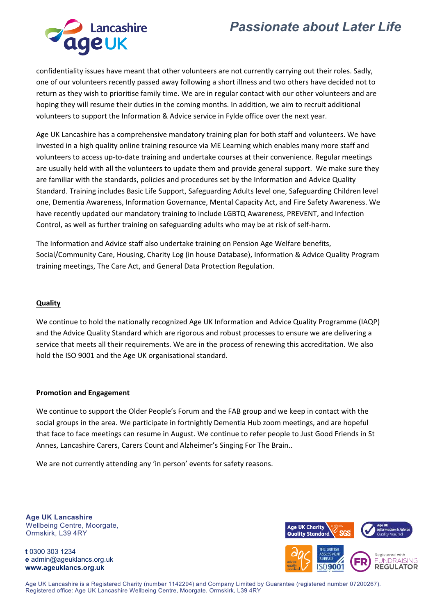## *Passionate about Later Life*



confidentiality issues have meant that other volunteers are not currently carrying out their roles. Sadly, one of our volunteers recently passed away following a short illness and two others have decided not to return as they wish to prioritise family time. We are in regular contact with our other volunteers and are hoping they will resume their duties in the coming months. In addition, we aim to recruit additional volunteers to support the Information & Advice service in Fylde office over the next year.

Age UK Lancashire has a comprehensive mandatory training plan for both staff and volunteers. We have invested in a high quality online training resource via ME Learning which enables many more staff and volunteers to access up-to-date training and undertake courses at their convenience. Regular meetings are usually held with all the volunteers to update them and provide general support. We make sure they are familiar with the standards, policies and procedures set by the Information and Advice Quality Standard. Training includes Basic Life Support, Safeguarding Adults level one, Safeguarding Children level one, Dementia Awareness, Information Governance, Mental Capacity Act, and Fire Safety Awareness. We have recently updated our mandatory training to include LGBTQ Awareness, PREVENT, and Infection Control, as well as further training on safeguarding adults who may be at risk of self‐harm.

The Information and Advice staff also undertake training on Pension Age Welfare benefits, Social/Community Care, Housing, Charity Log (in house Database), Information & Advice Quality Program training meetings, The Care Act, and General Data Protection Regulation.

#### **Quality**

We continue to hold the nationally recognized Age UK Information and Advice Quality Programme (IAQP) and the Advice Quality Standard which are rigorous and robust processes to ensure we are delivering a service that meets all their requirements. We are in the process of renewing this accreditation. We also hold the ISO 9001 and the Age UK organisational standard.

#### **Promotion and Engagement**

We continue to support the Older People's Forum and the FAB group and we keep in contact with the social groups in the area. We participate in fortnightly Dementia Hub zoom meetings, and are hopeful that face to face meetings can resume in August. We continue to refer people to Just Good Friends in St Annes, Lancashire Carers, Carers Count and Alzheimer's Singing For The Brain..

We are not currently attending any 'in person' events for safety reasons.

**Age UK Lancashire** Wellbeing Centre, Moorgate, Ormskirk, L39 4RY

**t** 0300 303 1234 **e** admin@ageuklancs.org.uk **www.ageuklancs.org.uk**



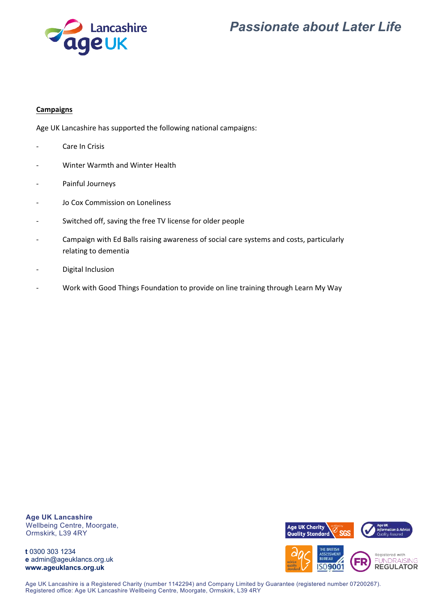



#### **Campaigns**

Age UK Lancashire has supported the following national campaigns:

- ‐ Care In Crisis
- ‐ Winter Warmth and Winter Health
- ‐ Painful Journeys
- Jo Cox Commission on Loneliness
- Switched off, saving the free TV license for older people
- ‐ Campaign with Ed Balls raising awareness of social care systems and costs, particularly relating to dementia
- ‐ Digital Inclusion
- ‐ Work with Good Things Foundation to provide on line training through Learn My Way

**Age UK Lancashire** Wellbeing Centre, Moorgate, Ormskirk, L39 4RY

**t** 0300 303 1234 **e** admin@ageuklancs.org.uk **www.ageuklancs.org.uk**



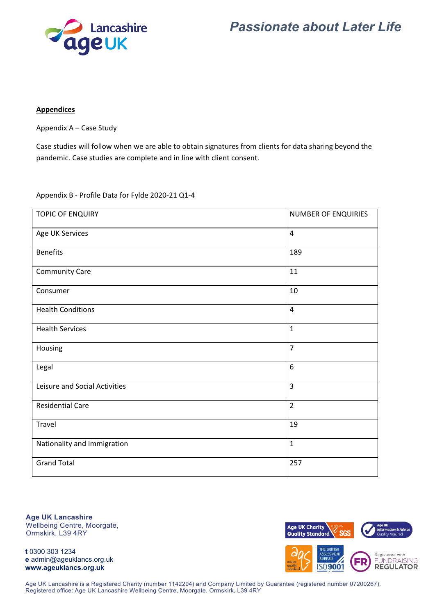



#### **Appendices**

Appendix A – Case Study

Case studies will follow when we are able to obtain signatures from clients for data sharing beyond the pandemic. Case studies are complete and in line with client consent.

Appendix B ‐ Profile Data for Fylde 2020‐21 Q1‐4

| <b>TOPIC OF ENQUIRY</b>       | <b>NUMBER OF ENQUIRIES</b> |
|-------------------------------|----------------------------|
| Age UK Services               | $\overline{4}$             |
| <b>Benefits</b>               | 189                        |
| <b>Community Care</b>         | 11                         |
| Consumer                      | 10                         |
| <b>Health Conditions</b>      | 4                          |
| <b>Health Services</b>        | $\mathbf{1}$               |
| Housing                       | $\overline{7}$             |
| Legal                         | 6                          |
| Leisure and Social Activities | $\overline{3}$             |
| <b>Residential Care</b>       | $\overline{2}$             |
| Travel                        | 19                         |
| Nationality and Immigration   | $\mathbf{1}$               |
| <b>Grand Total</b>            | 257                        |

**Age UK Lancashire** Wellbeing Centre, Moorgate, Ormskirk, L39 4RY

**t** 0300 303 1234 **e** admin@ageuklancs.org.uk **www.ageuklancs.org.uk**



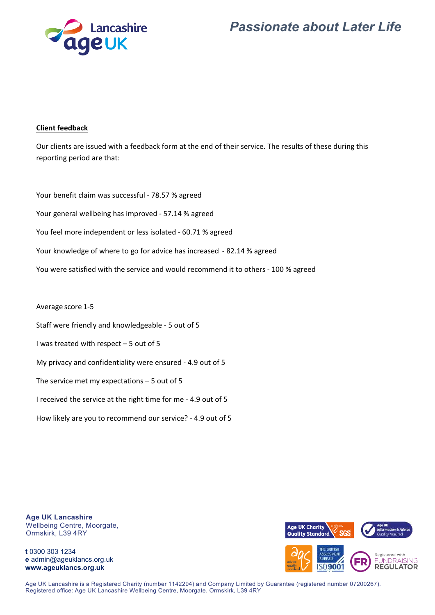



#### **Client feedback**

Our clients are issued with a feedback form at the end of their service. The results of these during this reporting period are that:

Your benefit claim was successful ‐ 78.57 % agreed Your general wellbeing has improved ‐ 57.14 % agreed You feel more independent or less isolated ‐ 60.71 % agreed Your knowledge of where to go for advice has increased ‐ 82.14 % agreed You were satisfied with the service and would recommend it to others ‐ 100 % agreed

Average score 1‐5

Staff were friendly and knowledgeable ‐ 5 out of 5

I was treated with respect – 5 out of 5

My privacy and confidentiality were ensured ‐ 4.9 out of 5

The service met my expectations – 5 out of 5

I received the service at the right time for me ‐ 4.9 out of 5

How likely are you to recommend our service? ‐ 4.9 out of 5

**Age UK Lancashire** Wellbeing Centre, Moorgate, Ormskirk, L39 4RY

**t** 0300 303 1234 **e** admin@ageuklancs.org.uk **www.ageuklancs.org.uk**